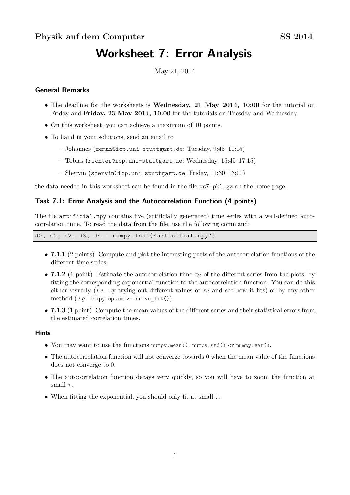# **Worksheet 7: Error Analysis**

May 21, 2014

## **General Remarks**

- The deadline for the worksheets is **Wednesday, 21 May 2014, 10:00** for the tutorial on Friday and **Friday, 23 May 2014, 10:00** for the tutorials on Tuesday and Wednesday.
- On this worksheet, you can achieve a maximum of 10 points.
- To hand in your solutions, send an email to
	- **–** Johannes (zeman@icp.uni-stuttgart.de; Tuesday, 9:45–11:15)
	- **–** Tobias (richter@icp.uni-stuttgart.de; Wednesday, 15:45–17:15)
	- **–** Shervin (shervin@icp.uni-stuttgart.de; Friday, 11:30–13:00)

the data needed in this worksheet can be found in the file ws7.pkl.gz on the home page.

## **Task 7.1: Error Analysis and the Autocorrelation Function (4 points)**

The file artificial.npy contains five (artificially generated) time series with a well-defined autocorrelation time. To read the data from the file, use the following command:

d0, d1, d2, d3, d4 =  $numpv$ . load ('articifial.npv')

- **7.1.1** (2 points) Compute and plot the interesting parts of the autocorrelation functions of the different time series.
- **7.1.2** (1 point) Estimate the autocorrelation time *τ<sup>C</sup>* of the different series from the plots, by fitting the corresponding exponential function to the autocorrelation function. You can do this either visually *(i.e.* by trying out different values of  $\tau_C$  and see how it fits) or by any other method (*e.g.* scipy.optimize.curve\_fit()).
- **7.1.3** (1 point) Compute the mean values of the different series and their statistical errors from the estimated correlation times.

#### **Hints**

- You may want to use the functions numpy.mean(), numpy.std() or numpy.var().
- The autocorrelation function will not converge towards 0 when the mean value of the functions does not converge to 0.
- The autocorrelation function decays very quickly, so you will have to zoom the function at small  $\tau$ .
- When fitting the exponential, you should only fit at small  $\tau$ .